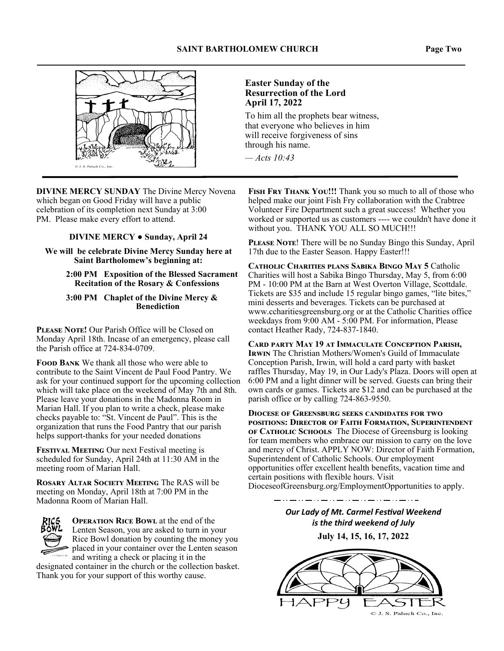

**DIVINE MERCY SUNDAY** The Divine Mercy Novena which began on Good Friday will have a public celebration of its completion next Sunday at 3:00 PM. Please make every effort to attend.

#### **DIVINE MERCY ● Sunday, April 24**

**We will be celebrate Divine Mercy Sunday here at Saint Bartholomew's beginning at:** 

> **2:00 PM Exposition of the Blessed Sacrament Recitation of the Rosary & Confessions**

 **3:00 PM Chaplet of the Divine Mercy & Benediction** 

**PLEASE NOTE!** Our Parish Office will be Closed on Monday April 18th. Incase of an emergency, please call the Parish office at 724-834-0709.

**FOOD BANK** We thank all those who were able to contribute to the Saint Vincent de Paul Food Pantry. We ask for your continued support for the upcoming collection which will take place on the weekend of May 7th and 8th. Please leave your donations in the Madonna Room in Marian Hall. If you plan to write a check, please make checks payable to: "St. Vincent de Paul". This is the organization that runs the Food Pantry that our parish helps support-thanks for your needed donations

**FESTIVAL MEETING** Our next Festival meeting is scheduled for Sunday, April 24th at 11:30 AM in the meeting room of Marian Hall.

**ROSARY ALTAR SOCIETY MEETING The RAS will be** meeting on Monday, April 18th at 7:00 PM in the Madonna Room of Marian Hall.



**OPERATION RICE BOWL** at the end of the Lenten Season, you are asked to turn in your Rice Bowl donation by counting the money you placed in your container over the Lenten season **and writing a check or placing it in the** 

designated container in the church or the collection basket. Thank you for your support of this worthy cause.

#### **Easter Sunday of the Resurrection of the Lord April 17, 2022**

To him all the prophets bear witness, that everyone who believes in him will receive forgiveness of sins through his name.

*— Acts 10:43*

FISH FRY THANK YOU!!! Thank you so much to all of those who helped make our joint Fish Fry collaboration with the Crabtree Volunteer Fire Department such a great success! Whether you worked or supported us as customers ---- we couldn't have done it without you. THANK YOU ALL SO MUCH!!!

PLEASE NOTE! There will be no Sunday Bingo this Sunday, April 17th due to the Easter Season. Happy Easter!!!

CATHOLIC CHARITIES PLANS SABIKA BINGO MAY 5 Catholic Charities will host a Sabika Bingo Thursday, May 5, from 6:00 PM - 10:00 PM at the Barn at West Overton Village, Scottdale. Tickets are \$35 and include 15 regular bingo games, "lite bites," mini desserts and beverages. Tickets can be purchased at www.ccharitiesgreensburg.org or at the Catholic Charities office weekdays from 9:00 AM - 5:00 PM. For information, Please contact Heather Rady, 724-837-1840.

CARD PARTY MAY 19 AT IMMACULATE CONCEPTION PARISH, **IRWIN** The Christian Mothers/Women's Guild of Immaculate Conception Parish, Irwin, will hold a card party with basket raffles Thursday, May 19, in Our Lady's Plaza. Doors will open at 6:00 PM and a light dinner will be served. Guests can bring their own cards or games. Tickets are \$12 and can be purchased at the parish office or by calling 724-863-9550.

**DIOCESE OF GREENSBURG SEEKS CANDIDATES FOR TWO** POSITIONS: DIRECTOR OF FAITH FORMATION, SUPERINTENDENT **OF CATHOLIC SCHOOLS** The Diocese of Greensburg is looking for team members who embrace our mission to carry on the love and mercy of Christ. APPLY NOW: Director of Faith Formation, Superintendent of Catholic Schools. Our employment opportunities offer excellent health benefits, vacation time and certain positions with flexible hours. Visit DioceseofGreensburg.org/EmploymentOpportunities to apply.

> **Our Lady of Mt. Carmel Festival Weekend** *is the third weekend of July*  **July 14, 15, 16, 17, 2022**

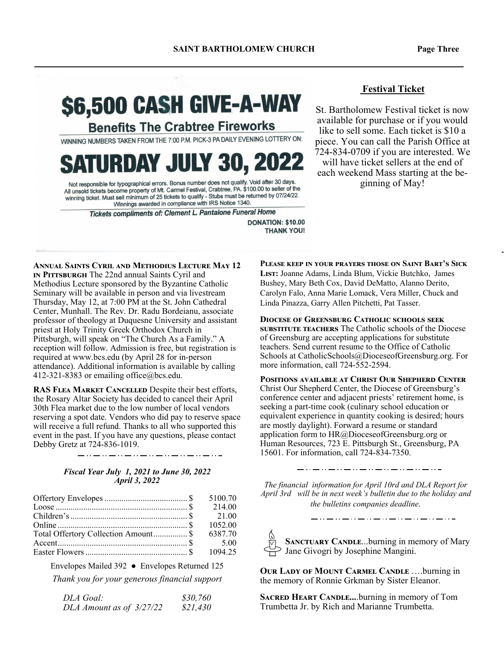# **S6,500 CASH GIVE-A-WAY**

**Benefits The Crabtree Fireworks** 

WINNING NUMBERS TAKEN FROM THE 7:00 P.M. PICK-3 PA DAILY EVENING LOTTERY ON:

# **SATURDAY JULY 30, 2022**

Not responsible for typographical errors. Bonus number does not qualify. Void after 30 days.<br>All unsold tickets become property of Mt. Carmel Festival, Crabtree, PA. \$100.00 to seller of the<br>All unsold tickets be religious winning ticket. Must sell minimum of 25 tickets to qualify - Stubs must be returned by 07/24/22. Winnings awarded in compliance with IRS Notice 1340.

Tickets compliments of: Clement L. Pantalone Funeral Home

**DONATION: \$10.00 THANK YOU!**  **Festival Ticket** 

St. Bartholomew Festival ticket is now available for purchase or if you would like to sell some. Each ticket is \$10 a piece. You can call the Parish Office at 724-834-0709 if you are interested. We will have ticket sellers at the end of each weekend Mass starting at the beginning of May!

**ANNUAL SAINTS CYRIL AND METHODIUS LECTURE MAY 12 IN PITTSBURGH** The 22nd annual Saints Cyril and Methodius Lecture sponsored by the Byzantine Catholic Seminary will be available in person and via livestream Thursday, May 12, at 7:00 PM at the St. John Cathedral Center, Munhall. The Rev. Dr. Radu Bordeianu, associate professor of theology at Duquesne University and assistant priest at Holy Trinity Greek Orthodox Church in Pittsburgh, will speak on "The Church As a Family." A reception will follow. Admission is free, but registration is required at www.bcs.edu (by April 28 for in-person attendance). Additional information is available by calling 412-321-8383 or emailing office@bcs.edu.

RAS FLEA MARKET CANCELLED Despite their best efforts, the Rosary Altar Society has decided to cancel their April 30th Flea market due to the low number of local vendors reserving a spot date. Vendors who did pay to reserve space will receive a full refund. Thanks to all who supported this event in the past. If you have any questions, please contact Debby Gretz at 724-836-1019.

#### *Fiscal Year July 1, 2021 to June 30, 2022 April 3, 2022*

|                                      | 214.00  |
|--------------------------------------|---------|
|                                      |         |
|                                      | 1052.00 |
| Total Offertory Collection Amount \$ | 6387.70 |
|                                      |         |
|                                      |         |

Envelopes Mailed 392 ● Envelopes Returned 125

*Thank you for your generous financial support* 

| DLA Goal:                | \$30,760 |
|--------------------------|----------|
| DLA Amount as of 3/27/22 | \$21,430 |

**PLEASE KEEP IN YOUR PRAYERS THOSE ON SAINT BART'S SICK** LIST: Joanne Adams, Linda Blum, Vickie Butchko, James Bushey, Mary Beth Cox, David DeMatto, Alanno Derito, Carolyn Falo, Anna Marie Lomack, Vera Miller, Chuck and Linda Pinazza, Garry Allen Pitchetti, Pat Tasser.

**DIOCESE OF GREENSBURG CATHOLIC SCHOOLS SEEK SUBSTITUTE TEACHERS** The Catholic schools of the Diocese of Greensburg are accepting applications for substitute teachers. Send current resume to the Office of Catholic Schools at CatholicSchools@DioceseofGreensburg.org. For more information, call 724-552-2594.

**POSITIONS AVAILABLE AT CHRIST OUR SHEPHERD CENTER** Christ Our Shepherd Center, the Diocese of Greensburg's conference center and adjacent priests' retirement home, is seeking a part-time cook (culinary school education or equivalent experience in quantity cooking is desired; hours are mostly daylight). Forward a resume or standard application form to HR@DioceseofGreensburg.org or Human Resources, 723 E. Pittsburgh St., Greensburg, PA 15601. For information, call 724-834-7350.

\_ . . \_\_ . . \_\_ . . \_\_ . . \_\_ . . \_\_ . . \_\_ . . \_\_

*The financial information for April 10rd and DLA Report for April 3rd will be in next week's bulletin due to the holiday and the bulletins companies deadline.* 

**SANCTUARY CANDLE...burning in memory of Mary** Jane Givogri by Josephine Mangini.

\_ . . \_\_ . . \_\_ . . \_\_ . . \_\_ . . \_\_ . . \_\_ . . \_\_

**OUR LADY OF MOUNT CARMEL CANDLE ....burning in** the memory of Ronnie Grkman by Sister Eleanor.

**SACRED HEART CANDLE....burning in memory of Tom** Trumbetta Jr. by Rich and Marianne Trumbetta.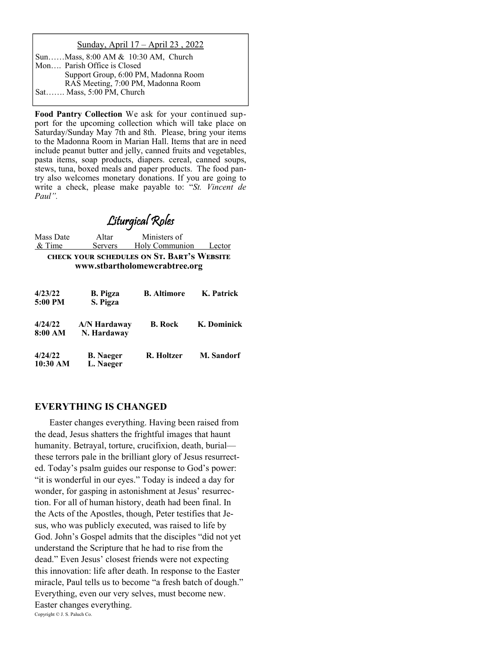#### Sunday, April 17 – April 23 , 2022

| SunMass, 8:00 AM & 10:30 AM, Church  |  |
|--------------------------------------|--|
| Mon Parish Office is Closed          |  |
| Support Group, 6:00 PM, Madonna Room |  |
| RAS Meeting, 7:00 PM, Madonna Room   |  |
| Sat Mass, 5:00 PM, Church            |  |

**Food Pantry Collection** We ask for your continued support for the upcoming collection which will take place on Saturday/Sunday May 7th and 8th. Please, bring your items to the Madonna Room in Marian Hall. Items that are in need include peanut butter and jelly, canned fruits and vegetables, pasta items, soap products, diapers. cereal, canned soups, stews, tuna, boxed meals and paper products. The food pantry also welcomes monetary donations. If you are going to write a check, please make payable to: "*St. Vincent de Paul".* 

### Liturgical Roles

| Mass Date<br>& Time                                                         | Altar<br><b>Servers</b>       | Ministers of<br>Holy Communion | Lector      |
|-----------------------------------------------------------------------------|-------------------------------|--------------------------------|-------------|
| CHECK YOUR SCHEDULES ON ST. BART'S WEBSITE<br>www.stbartholomewcrabtree.org |                               |                                |             |
| 4/23/22<br>5:00 PM                                                          | <b>B.</b> Pigza<br>S. Pigza   | <b>B.</b> Altimore             | K. Patrick  |
| 4/24/22<br>8:00 AM                                                          | A/N Hardaway<br>N. Hardaway   | <b>B.</b> Rock                 | K. Dominick |
| 4/24/22<br>10:30 AM                                                         | <b>B.</b> Naeger<br>L. Naeger | R. Holtzer                     | M. Sandorf  |

#### **EVERYTHING IS CHANGED**

 Easter changes everything. Having been raised from the dead, Jesus shatters the frightful images that haunt humanity. Betrayal, torture, crucifixion, death, burial these terrors pale in the brilliant glory of Jesus resurrected. Today's psalm guides our response to God's power: "it is wonderful in our eyes." Today is indeed a day for wonder, for gasping in astonishment at Jesus' resurrection. For all of human history, death had been final. In the Acts of the Apostles, though, Peter testifies that Jesus, who was publicly executed, was raised to life by God. John's Gospel admits that the disciples "did not yet understand the Scripture that he had to rise from the dead." Even Jesus' closest friends were not expecting this innovation: life after death. In response to the Easter miracle, Paul tells us to become "a fresh batch of dough." Everything, even our very selves, must become new. Easter changes everything. Copyright © J. S. Paluch Co.